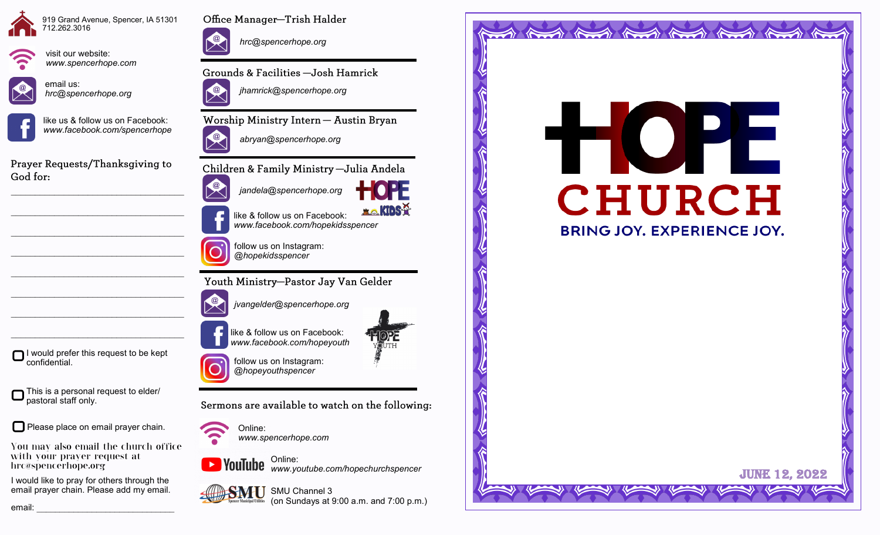



visit our website:



*www.spencerhope.com*

email us: *hrc@spencerhope.org*





Prayer Requests/Thanksgiving to God for:

 $\mathcal{L}_\text{max}$  , and the set of the set of the set of the set of the set of the set of the set of the set of the set of the set of the set of the set of the set of the set of the set of the set of the set of the set of the

 $\mathcal{L}_\text{max}$  , and the set of the set of the set of the set of the set of the set of the set of the set of the set of the set of the set of the set of the set of the set of the set of the set of the set of the set of the

 $\mathcal{L}_\text{max}$  , and the set of the set of the set of the set of the set of the set of the set of the set of the set of the set of the set of the set of the set of the set of the set of the set of the set of the set of the

 $\mathcal{L}_\text{max}$ 

 $\mathcal{L}_\text{max}$ 

 $\mathcal{L}_\text{max}$ 



This is a personal request to elder/ pastoral staff only.

Please place on email prayer chain.

You may also email the church office with your prayer request at hrc@spencerhope.org

I would like to pray for others through the email prayer chain. Please add my email.



Office Manager-Trish Halder

*hrc@spencerhope.org*

Grounds & Facilities -Josh Hamrick

*jhamrick@spencerhope.org*

Worship Ministry Intern - Austin Bryan



Children & Family Ministry - Julia Andela



like & follow us on Facebook: *www.facebook.com/hopekidsspencer*

follow us on Instagram:

Youth Ministry-Pastor Jay Van Gelder

*jvangelder@spencerhope.org*

*@hopekidsspencer*

like & follow us on Facebook: *www.facebook.com/hopeyouth*



**XO.KIDS?** 

follow us on Instagram: *@hopeyouthspencer*

Sermons are available to watch on the following:



Online: *www.spencerhope.com*

Online: *www.youtube.com/hopechurchspencer*